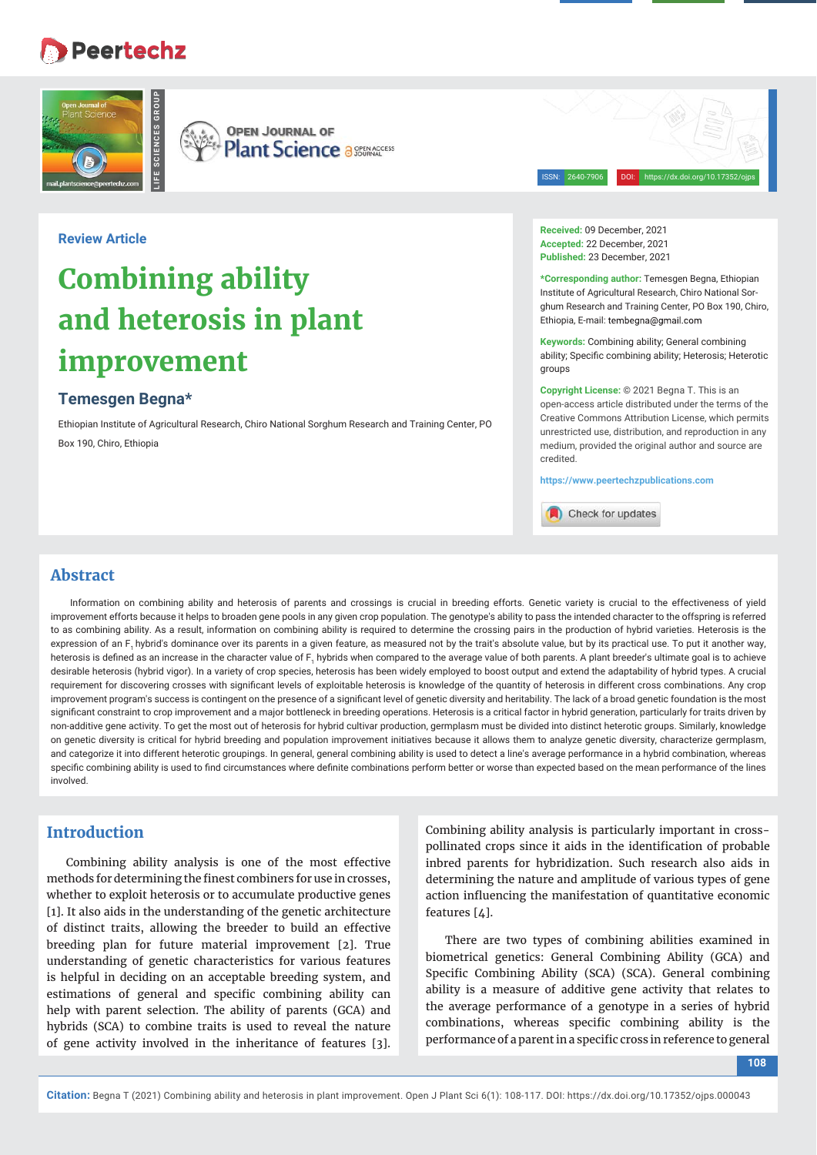# **Peertechz**



**OPEN JOURNAL OF Plant Science a SEERACCESS** 

**Review Article**

# **Combining ability and heterosis in plant improvement**

## **Temesgen Begna\***

Ethiopian Institute of Agricultural Research, Chiro National Sorghum Research and Training Center, PO Box 190, Chiro, Ethiopia

ISSN: 2640-7906 DOI: https://dx.doi.org/10.17352/ojps

**Received:** 09 December, 2021 **Accepted:** 22 December, 2021 **Published:** 23 December, 2021

**\*Corresponding author:** Temesgen Begna, Ethiopian Institute of Agricultural Research, Chiro National Sorghum Research and Training Center, PO Box 190, Chiro, Ethiopia, E-mail: tembegna@gmail.com

**Keywords:** Combining ability; General combining ability; Specific combining ability; Heterosis; Heterotic groups

**Copyright License:** © 2021 Begna T. This is an open-access article distributed under the terms of the Creative Commons Attribution License, which permits unrestricted use, distribution, and reproduction in any medium, provided the original author and source are credited.

**https://www.peertechzpublications.com**

Check for updates

#### **Abstract**

Information on combining ability and heterosis of parents and crossings is crucial in breeding efforts. Genetic variety is crucial to the effectiveness of yield improvement efforts because it helps to broaden gene pools in any given crop population. The genotype's ability to pass the intended character to the offspring is referred to as combining ability. As a result, information on combining ability is required to determine the crossing pairs in the production of hybrid varieties. Heterosis is the expression of an F, hybrid's dominance over its parents in a given feature, as measured not by the trait's absolute value, but by its practical use. To put it another way, heterosis is defined as an increase in the character value of F<sub>1</sub> hybrids when compared to the average value of both parents. A plant breeder's ultimate goal is to achieve desirable heterosis (hybrid vigor). In a variety of crop species, heterosis has been widely employed to boost output and extend the adaptability of hybrid types. A crucial requirement for discovering crosses with significant levels of exploitable heterosis is knowledge of the quantity of heterosis in different cross combinations. Any crop improvement program's success is contingent on the presence of a significant level of genetic diversity and heritability. The lack of a broad genetic foundation is the most significant constraint to crop improvement and a major bottleneck in breeding operations. Heterosis is a critical factor in hybrid generation, particularly for traits driven by non-additive gene activity. To get the most out of heterosis for hybrid cultivar production, germplasm must be divided into distinct heterotic groups. Similarly, knowledge on genetic diversity is critical for hybrid breeding and population improvement initiatives because it allows them to analyze genetic diversity, characterize germplasm, and categorize it into different heterotic groupings. In general, general combining ability is used to detect a line's average performance in a hybrid combination, whereas specific combining ability is used to find circumstances where definite combinations perform better or worse than expected based on the mean performance of the lines involved.

### **Introduction**

Combining ability analysis is one of the most effective methods for determining the finest combiners for use in crosses, whether to exploit heterosis or to accumulate productive genes [1]. It also aids in the understanding of the genetic architecture of distinct traits, allowing the breeder to build an effective breeding plan for future material improvement [2]. True understanding of genetic characteristics for various features is helpful in deciding on an acceptable breeding system, and estimations of general and specific combining ability can help with parent selection. The ability of parents (GCA) and hybrids (SCA) to combine traits is used to reveal the nature of gene activity involved in the inheritance of features [3].

Combining ability analysis is particularly important in crosspollinated crops since it aids in the identification of probable inbred parents for hybridization. Such research also aids in determining the nature and amplitude of various types of gene action influencing the manifestation of quantitative economic features [4].

There are two types of combining abilities examined in biometrical genetics: General Combining Ability (GCA) and Specific Combining Ability (SCA) (SCA). General combining ability is a measure of additive gene activity that relates to the average performance of a genotype in a series of hybrid combinations, whereas specific combining ability is the performance of a parent in a specific cross in reference to general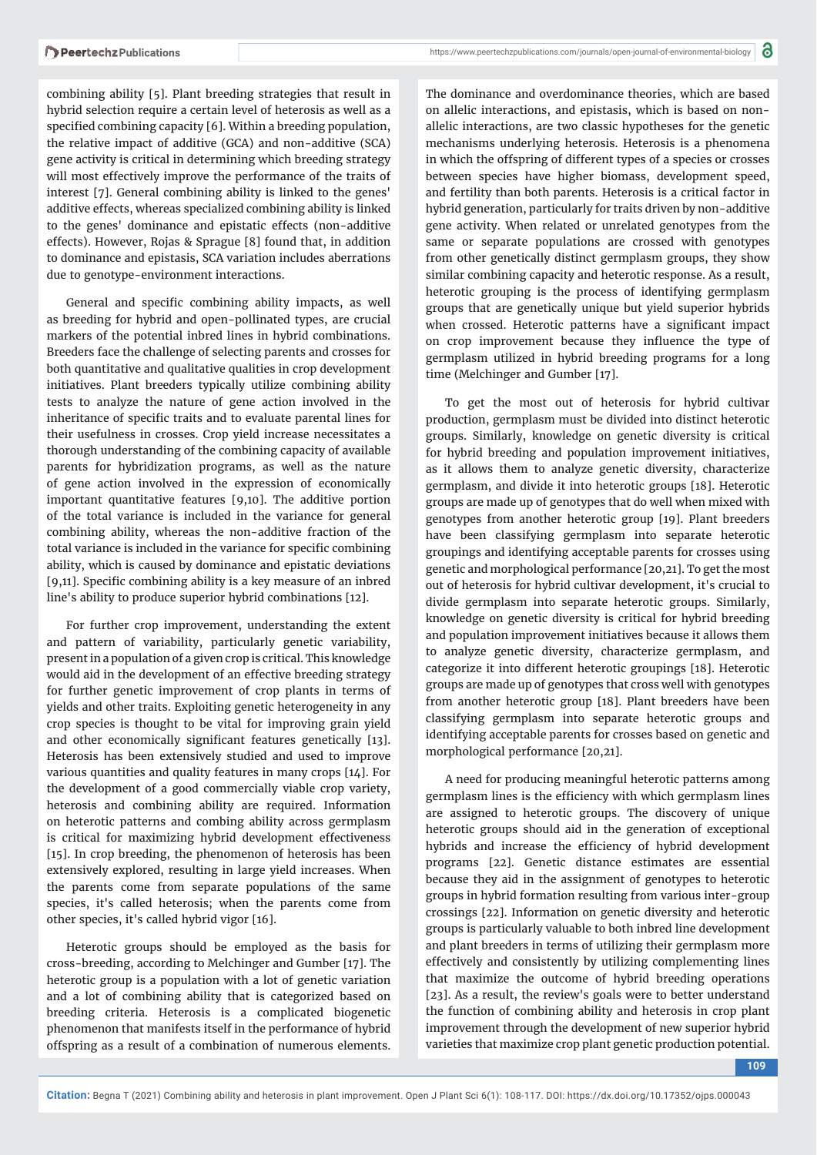combining ability [5]. Plant breeding strategies that result in hybrid selection require a certain level of heterosis as well as a specified combining capacity [6]. Within a breeding population, the relative impact of additive (GCA) and non-additive (SCA) gene activity is critical in determining which breeding strategy will most effectively improve the performance of the traits of interest [7]. General combining ability is linked to the genes' additive effects, whereas specialized combining ability is linked to the genes' dominance and epistatic effects (non-additive effects). However, Rojas & Sprague [8] found that, in addition to dominance and epistasis, SCA variation includes aberrations due to genotype-environment interactions.

General and specific combining ability impacts, as well as breeding for hybrid and open-pollinated types, are crucial markers of the potential inbred lines in hybrid combinations. Breeders face the challenge of selecting parents and crosses for both quantitative and qualitative qualities in crop development initiatives. Plant breeders typically utilize combining ability tests to analyze the nature of gene action involved in the inheritance of specific traits and to evaluate parental lines for their usefulness in crosses. Crop yield increase necessitates a thorough understanding of the combining capacity of available parents for hybridization programs, as well as the nature of gene action involved in the expression of economically important quantitative features [9,10]. The additive portion of the total variance is included in the variance for general combining ability, whereas the non-additive fraction of the total variance is included in the variance for specific combining ability, which is caused by dominance and epistatic deviations  $[9,11]$ . Specific combining ability is a key measure of an inbred line's ability to produce superior hybrid combinations [12].

For further crop improvement, understanding the extent and pattern of variability, particularly genetic variability, present in a population of a given crop is critical. This knowledge would aid in the development of an effective breeding strategy for further genetic improvement of crop plants in terms of yields and other traits. Exploiting genetic heterogeneity in any crop species is thought to be vital for improving grain yield and other economically significant features genetically [13]. Heterosis has been extensively studied and used to improve various quantities and quality features in many crops [14]. For the development of a good commercially viable crop variety, heterosis and combining ability are required. Information on heterotic patterns and combing ability across germplasm is critical for maximizing hybrid development effectiveness [15]. In crop breeding, the phenomenon of heterosis has been extensively explored, resulting in large yield increases. When the parents come from separate populations of the same species, it's called heterosis; when the parents come from other species, it's called hybrid vigor [16].

Heterotic groups should be employed as the basis for cross-breeding, according to Melchinger and Gumber [17]. The heterotic group is a population with a lot of genetic variation and a lot of combining ability that is categorized based on breeding criteria. Heterosis is a complicated biogenetic phenomenon that manifests itself in the performance of hybrid offspring as a result of a combination of numerous elements.

The dominance and overdominance theories, which are based on allelic interactions, and epistasis, which is based on nonallelic interactions, are two classic hypotheses for the genetic mechanisms underlying heterosis. Heterosis is a phenomena in which the offspring of different types of a species or crosses between species have higher biomass, development speed, and fertility than both parents. Heterosis is a critical factor in hybrid generation, particularly for traits driven by non-additive gene activity. When related or unrelated genotypes from the same or separate populations are crossed with genotypes from other genetically distinct germplasm groups, they show similar combining capacity and heterotic response. As a result, heterotic grouping is the process of identifying germplasm groups that are genetically unique but yield superior hybrids when crossed. Heterotic patterns have a significant impact on crop improvement because they influence the type of germplasm utilized in hybrid breeding programs for a long time (Melchinger and Gumber [17].

To get the most out of heterosis for hybrid cultivar production, germplasm must be divided into distinct heterotic groups. Similarly, knowledge on genetic diversity is critical for hybrid breeding and population improvement initiatives, as it allows them to analyze genetic diversity, characterize germplasm, and divide it into heterotic groups [18]. Heterotic groups are made up of genotypes that do well when mixed with genotypes from another heterotic group [19]. Plant breeders have been classifying germplasm into separate heterotic groupings and identifying acceptable parents for crosses using genetic and morphological performance [20,21]. To get the most out of heterosis for hybrid cultivar development, it's crucial to divide germplasm into separate heterotic groups. Similarly, knowledge on genetic diversity is critical for hybrid breeding and population improvement initiatives because it allows them to analyze genetic diversity, characterize germplasm, and categorize it into different heterotic groupings [18]. Heterotic groups are made up of genotypes that cross well with genotypes from another heterotic group [18]. Plant breeders have been classifying germplasm into separate heterotic groups and identifying acceptable parents for crosses based on genetic and morphological performance [20,21].

A need for producing meaningful heterotic patterns among germplasm lines is the efficiency with which germplasm lines are assigned to heterotic groups. The discovery of unique heterotic groups should aid in the generation of exceptional hybrids and increase the efficiency of hybrid development programs [22]. Genetic distance estimates are essential because they aid in the assignment of genotypes to heterotic groups in hybrid formation resulting from various inter-group crossings [22]. Information on genetic diversity and heterotic groups is particularly valuable to both inbred line development and plant breeders in terms of utilizing their germplasm more effectively and consistently by utilizing complementing lines that maximize the outcome of hybrid breeding operations [23]. As a result, the review's goals were to better understand the function of combining ability and heterosis in crop plant improvement through the development of new superior hybrid varieties that maximize crop plant genetic production potential.

**109**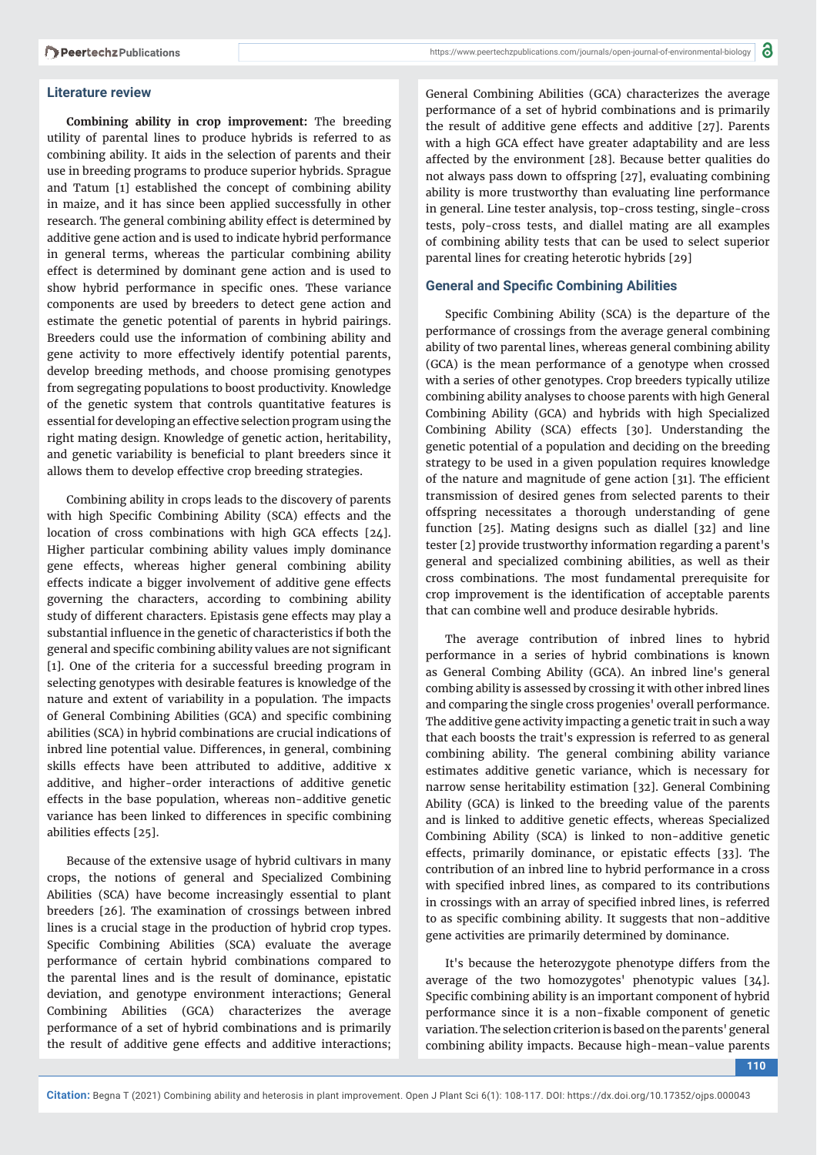#### **Literature review**

**Combining ability in crop improvement:** The breeding utility of parental lines to produce hybrids is referred to as combining ability. It aids in the selection of parents and their use in breeding programs to produce superior hybrids. Sprague and Tatum [1] established the concept of combining ability in maize, and it has since been applied successfully in other research. The general combining ability effect is determined by additive gene action and is used to indicate hybrid performance in general terms, whereas the particular combining ability effect is determined by dominant gene action and is used to show hybrid performance in specific ones. These variance components are used by breeders to detect gene action and estimate the genetic potential of parents in hybrid pairings. Breeders could use the information of combining ability and gene activity to more effectively identify potential parents, develop breeding methods, and choose promising genotypes from segregating populations to boost productivity. Knowledge of the genetic system that controls quantitative features is essential for developing an effective selection program using the right mating design. Knowledge of genetic action, heritability, and genetic variability is beneficial to plant breeders since it allows them to develop effective crop breeding strategies.

Combining ability in crops leads to the discovery of parents with high Specific Combining Ability (SCA) effects and the location of cross combinations with high GCA effects [24]. Higher particular combining ability values imply dominance gene effects, whereas higher general combining ability effects indicate a bigger involvement of additive gene effects governing the characters, according to combining ability study of different characters. Epistasis gene effects may play a substantial influence in the genetic of characteristics if both the general and specific combining ability values are not significant [1]. One of the criteria for a successful breeding program in selecting genotypes with desirable features is knowledge of the nature and extent of variability in a population. The impacts of General Combining Abilities (GCA) and specific combining abilities (SCA) in hybrid combinations are crucial indications of inbred line potential value. Differences, in general, combining skills effects have been attributed to additive, additive x additive, and higher-order interactions of additive genetic effects in the base population, whereas non-additive genetic variance has been linked to differences in specific combining abilities effects [25].

Because of the extensive usage of hybrid cultivars in many crops, the notions of general and Specialized Combining Abilities (SCA) have become increasingly essential to plant breeders [26]. The examination of crossings between inbred lines is a crucial stage in the production of hybrid crop types. Specific Combining Abilities (SCA) evaluate the average performance of certain hybrid combinations compared to the parental lines and is the result of dominance, epistatic deviation, and genotype environment interactions; General Combining Abilities (GCA) characterizes the average performance of a set of hybrid combinations and is primarily the result of additive gene effects and additive interactions; General Combining Abilities (GCA) characterizes the average performance of a set of hybrid combinations and is primarily the result of additive gene effects and additive [27]. Parents with a high GCA effect have greater adaptability and are less affected by the environment [28]. Because better qualities do not always pass down to offspring [27], evaluating combining ability is more trustworthy than evaluating line performance in general. Line tester analysis, top-cross testing, single-cross tests, poly-cross tests, and diallel mating are all examples of combining ability tests that can be used to select superior parental lines for creating heterotic hybrids [29]

#### **General and Specific Combining Abilities**

Specific Combining Ability (SCA) is the departure of the performance of crossings from the average general combining ability of two parental lines, whereas general combining ability (GCA) is the mean performance of a genotype when crossed with a series of other genotypes. Crop breeders typically utilize combining ability analyses to choose parents with high General Combining Ability (GCA) and hybrids with high Specialized Combining Ability (SCA) effects [30]. Understanding the genetic potential of a population and deciding on the breeding strategy to be used in a given population requires knowledge of the nature and magnitude of gene action [31]. The efficient transmission of desired genes from selected parents to their offspring necessitates a thorough understanding of gene function [25]. Mating designs such as diallel [32] and line tester [2] provide trustworthy information regarding a parent's general and specialized combining abilities, as well as their cross combinations. The most fundamental prerequisite for crop improvement is the identification of acceptable parents that can combine well and produce desirable hybrids.

The average contribution of inbred lines to hybrid performance in a series of hybrid combinations is known as General Combing Ability (GCA). An inbred line's general combing ability is assessed by crossing it with other inbred lines and comparing the single cross progenies' overall performance. The additive gene activity impacting a genetic trait in such a way that each boosts the trait's expression is referred to as general combining ability. The general combining ability variance estimates additive genetic variance, which is necessary for narrow sense heritability estimation [32]. General Combining Ability (GCA) is linked to the breeding value of the parents and is linked to additive genetic effects, whereas Specialized Combining Ability (SCA) is linked to non-additive genetic effects, primarily dominance, or epistatic effects [33]. The contribution of an inbred line to hybrid performance in a cross with specified inbred lines, as compared to its contributions in crossings with an array of specified inbred lines, is referred to as specific combining ability. It suggests that non-additive gene activities are primarily determined by dominance.

It's because the heterozygote phenotype differs from the average of the two homozygotes' phenotypic values [34]. Specific combining ability is an important component of hybrid performance since it is a non-fixable component of genetic variation. The selection criterion is based on the parents' general combining ability impacts. Because high-mean-value parents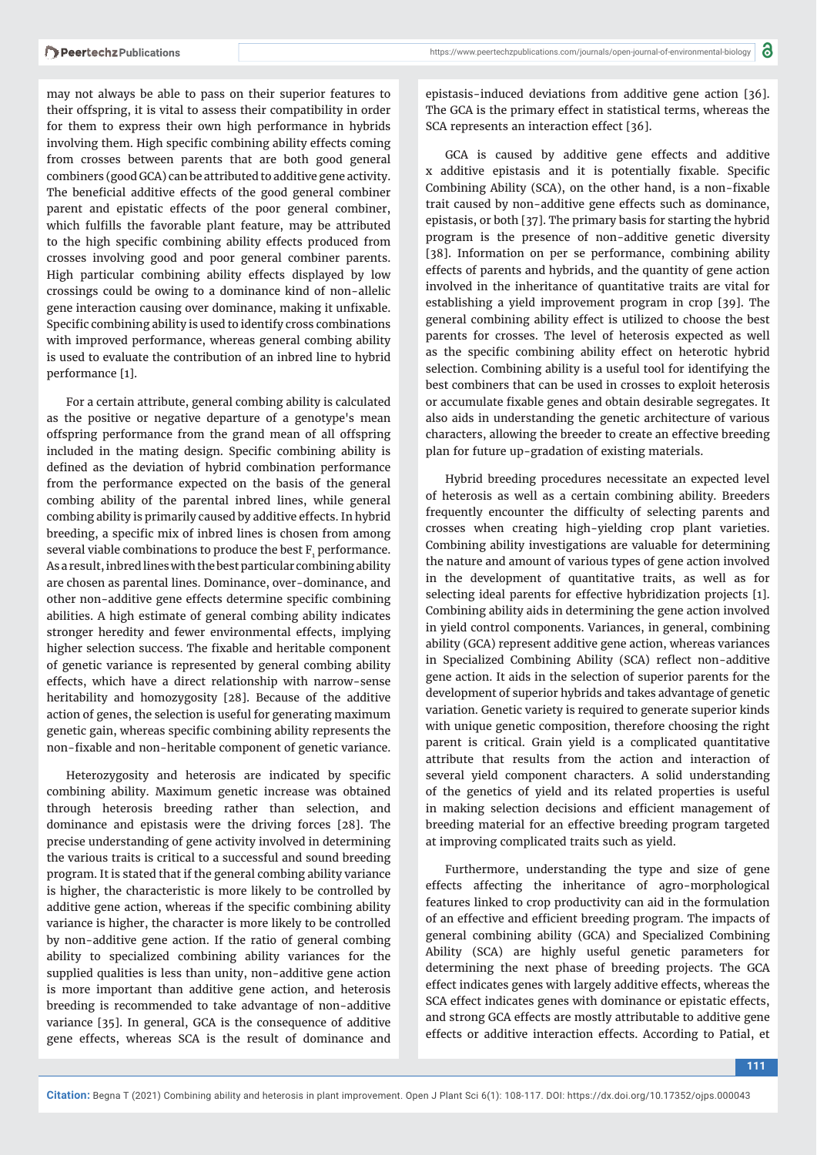may not always be able to pass on their superior features to their offspring, it is vital to assess their compatibility in order for them to express their own high performance in hybrids involving them. High specific combining ability effects coming from crosses between parents that are both good general combiners (good GCA) can be attributed to additive gene activity. The beneficial additive effects of the good general combiner parent and epistatic effects of the poor general combiner, which fulfills the favorable plant feature, may be attributed to the high specific combining ability effects produced from crosses involving good and poor general combiner parents. High particular combining ability effects displayed by low crossings could be owing to a dominance kind of non-allelic gene interaction causing over dominance, making it unfixable. Specific combining ability is used to identify cross combinations with improved performance, whereas general combing ability is used to evaluate the contribution of an inbred line to hybrid performance [1].

For a certain attribute, general combing ability is calculated as the positive or negative departure of a genotype's mean offspring performance from the grand mean of all offspring included in the mating design. Specific combining ability is defined as the deviation of hybrid combination performance from the performance expected on the basis of the general combing ability of the parental inbred lines, while general combing ability is primarily caused by additive effects. In hybrid breeding, a specific mix of inbred lines is chosen from among several viable combinations to produce the best  ${\tt F_i}$  performance. As a result, inbred lines with the best particular combining ability are chosen as parental lines. Dominance, over-dominance, and other non-additive gene effects determine specific combining abilities. A high estimate of general combing ability indicates stronger heredity and fewer environmental effects, implying higher selection success. The fixable and heritable component of genetic variance is represented by general combing ability effects, which have a direct relationship with narrow-sense heritability and homozygosity [28]. Because of the additive action of genes, the selection is useful for generating maximum genetic gain, whereas specific combining ability represents the non-fixable and non-heritable component of genetic variance.

Heterozygosity and heterosis are indicated by specific combining ability. Maximum genetic increase was obtained through heterosis breeding rather than selection, and dominance and epistasis were the driving forces [28]. The precise understanding of gene activity involved in determining the various traits is critical to a successful and sound breeding program. It is stated that if the general combing ability variance is higher, the characteristic is more likely to be controlled by additive gene action, whereas if the specific combining ability variance is higher, the character is more likely to be controlled by non-additive gene action. If the ratio of general combing ability to specialized combining ability variances for the supplied qualities is less than unity, non-additive gene action is more important than additive gene action, and heterosis breeding is recommended to take advantage of non-additive variance [35]. In general, GCA is the consequence of additive gene effects, whereas SCA is the result of dominance and

epistasis-induced deviations from additive gene action [36]. The GCA is the primary effect in statistical terms, whereas the SCA represents an interaction effect [36].

GCA is caused by additive gene effects and additive x additive epistasis and it is potentially fixable. Specific Combining Ability (SCA), on the other hand, is a non-fixable trait caused by non-additive gene effects such as dominance, epistasis, or both [37]. The primary basis for starting the hybrid program is the presence of non-additive genetic diversity [38]. Information on per se performance, combining ability effects of parents and hybrids, and the quantity of gene action involved in the inheritance of quantitative traits are vital for establishing a yield improvement program in crop [39]. The general combining ability effect is utilized to choose the best parents for crosses. The level of heterosis expected as well as the specific combining ability effect on heterotic hybrid selection. Combining ability is a useful tool for identifying the best combiners that can be used in crosses to exploit heterosis or accumulate fixable genes and obtain desirable segregates. It also aids in understanding the genetic architecture of various characters, allowing the breeder to create an effective breeding plan for future up-gradation of existing materials.

Hybrid breeding procedures necessitate an expected level of heterosis as well as a certain combining ability. Breeders frequently encounter the difficulty of selecting parents and crosses when creating high-yielding crop plant varieties. Combining ability investigations are valuable for determining the nature and amount of various types of gene action involved in the development of quantitative traits, as well as for selecting ideal parents for effective hybridization projects [1]. Combining ability aids in determining the gene action involved in yield control components. Variances, in general, combining ability (GCA) represent additive gene action, whereas variances in Specialized Combining Ability (SCA) reflect non-additive gene action. It aids in the selection of superior parents for the development of superior hybrids and takes advantage of genetic variation. Genetic variety is required to generate superior kinds with unique genetic composition, therefore choosing the right parent is critical. Grain yield is a complicated quantitative attribute that results from the action and interaction of several yield component characters. A solid understanding of the genetics of yield and its related properties is useful in making selection decisions and efficient management of breeding material for an effective breeding program targeted at improving complicated traits such as yield.

Furthermore, understanding the type and size of gene effects affecting the inheritance of agro-morphological features linked to crop productivity can aid in the formulation of an effective and efficient breeding program. The impacts of general combining ability (GCA) and Specialized Combining Ability (SCA) are highly useful genetic parameters for determining the next phase of breeding projects. The GCA effect indicates genes with largely additive effects, whereas the SCA effect indicates genes with dominance or epistatic effects, and strong GCA effects are mostly attributable to additive gene effects or additive interaction effects. According to Patial, et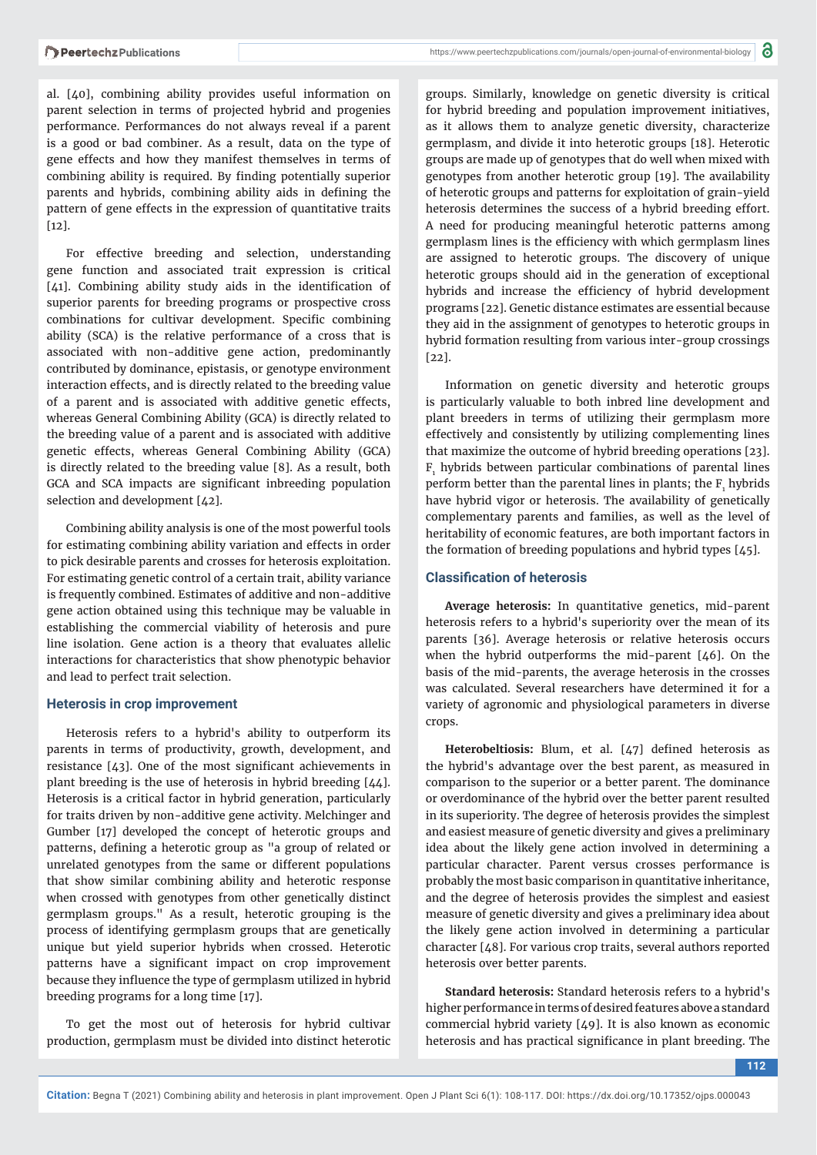al. [40], combining ability provides useful information on parent selection in terms of projected hybrid and progenies performance. Performances do not always reveal if a parent is a good or bad combiner. As a result, data on the type of gene effects and how they manifest themselves in terms of combining ability is required. By finding potentially superior parents and hybrids, combining ability aids in defining the pattern of gene effects in the expression of quantitative traits [12].

For effective breeding and selection, understanding gene function and associated trait expression is critical [41]. Combining ability study aids in the identification of superior parents for breeding programs or prospective cross combinations for cultivar development. Specific combining ability (SCA) is the relative performance of a cross that is associated with non-additive gene action, predominantly contributed by dominance, epistasis, or genotype environment interaction effects, and is directly related to the breeding value of a parent and is associated with additive genetic effects, whereas General Combining Ability (GCA) is directly related to the breeding value of a parent and is associated with additive genetic effects, whereas General Combining Ability (GCA) is directly related to the breeding value [8]. As a result, both GCA and SCA impacts are significant inbreeding population selection and development [42].

Combining ability analysis is one of the most powerful tools for estimating combining ability variation and effects in order to pick desirable parents and crosses for heterosis exploitation. For estimating genetic control of a certain trait, ability variance is frequently combined. Estimates of additive and non-additive gene action obtained using this technique may be valuable in establishing the commercial viability of heterosis and pure line isolation. Gene action is a theory that evaluates allelic interactions for characteristics that show phenotypic behavior and lead to perfect trait selection.

#### **Heterosis in crop improvement**

Heterosis refers to a hybrid's ability to outperform its parents in terms of productivity, growth, development, and resistance  $[43]$ . One of the most significant achievements in plant breeding is the use of heterosis in hybrid breeding [44]. Heterosis is a critical factor in hybrid generation, particularly for traits driven by non-additive gene activity. Melchinger and Gumber [17] developed the concept of heterotic groups and patterns, defining a heterotic group as "a group of related or unrelated genotypes from the same or different populations that show similar combining ability and heterotic response when crossed with genotypes from other genetically distinct germplasm groups." As a result, heterotic grouping is the process of identifying germplasm groups that are genetically unique but yield superior hybrids when crossed. Heterotic patterns have a significant impact on crop improvement because they influence the type of germplasm utilized in hybrid breeding programs for a long time [17].

To get the most out of heterosis for hybrid cultivar production, germplasm must be divided into distinct heterotic

groups. Similarly, knowledge on genetic diversity is critical for hybrid breeding and population improvement initiatives, as it allows them to analyze genetic diversity, characterize germplasm, and divide it into heterotic groups [18]. Heterotic groups are made up of genotypes that do well when mixed with genotypes from another heterotic group [19]. The availability of heterotic groups and patterns for exploitation of grain-yield heterosis determines the success of a hybrid breeding effort. A need for producing meaningful heterotic patterns among germplasm lines is the efficiency with which germplasm lines are assigned to heterotic groups. The discovery of unique heterotic groups should aid in the generation of exceptional hybrids and increase the efficiency of hybrid development programs [22]. Genetic distance estimates are essential because they aid in the assignment of genotypes to heterotic groups in hybrid formation resulting from various inter-group crossings  $[22]$ .

Information on genetic diversity and heterotic groups is particularly valuable to both inbred line development and plant breeders in terms of utilizing their germplasm more effectively and consistently by utilizing complementing lines that maximize the outcome of hybrid breeding operations [23].  $F<sub>1</sub>$  hybrids between particular combinations of parental lines perform better than the parental lines in plants; the  $F_1$  hybrids have hybrid vigor or heterosis. The availability of genetically complementary parents and families, as well as the level of heritability of economic features, are both important factors in the formation of breeding populations and hybrid types [45].

#### **Classification of heterosis**

**Average heterosis:** In quantitative genetics, mid-parent heterosis refers to a hybrid's superiority over the mean of its parents [36]. Average heterosis or relative heterosis occurs when the hybrid outperforms the mid-parent  $[46]$ . On the basis of the mid-parents, the average heterosis in the crosses was calculated. Several researchers have determined it for a variety of agronomic and physiological parameters in diverse crops.

Heterobeltiosis: Blum, et al. [47] defined heterosis as the hybrid's advantage over the best parent, as measured in comparison to the superior or a better parent. The dominance or overdominance of the hybrid over the better parent resulted in its superiority. The degree of heterosis provides the simplest and easiest measure of genetic diversity and gives a preliminary idea about the likely gene action involved in determining a particular character. Parent versus crosses performance is probably the most basic comparison in quantitative inheritance, and the degree of heterosis provides the simplest and easiest measure of genetic diversity and gives a preliminary idea about the likely gene action involved in determining a particular character [48]. For various crop traits, several authors reported heterosis over better parents.

**Standard heterosis:** Standard heterosis refers to a hybrid's higher performance in terms of desired features above a standard commercial hybrid variety [49]. It is also known as economic heterosis and has practical significance in plant breeding. The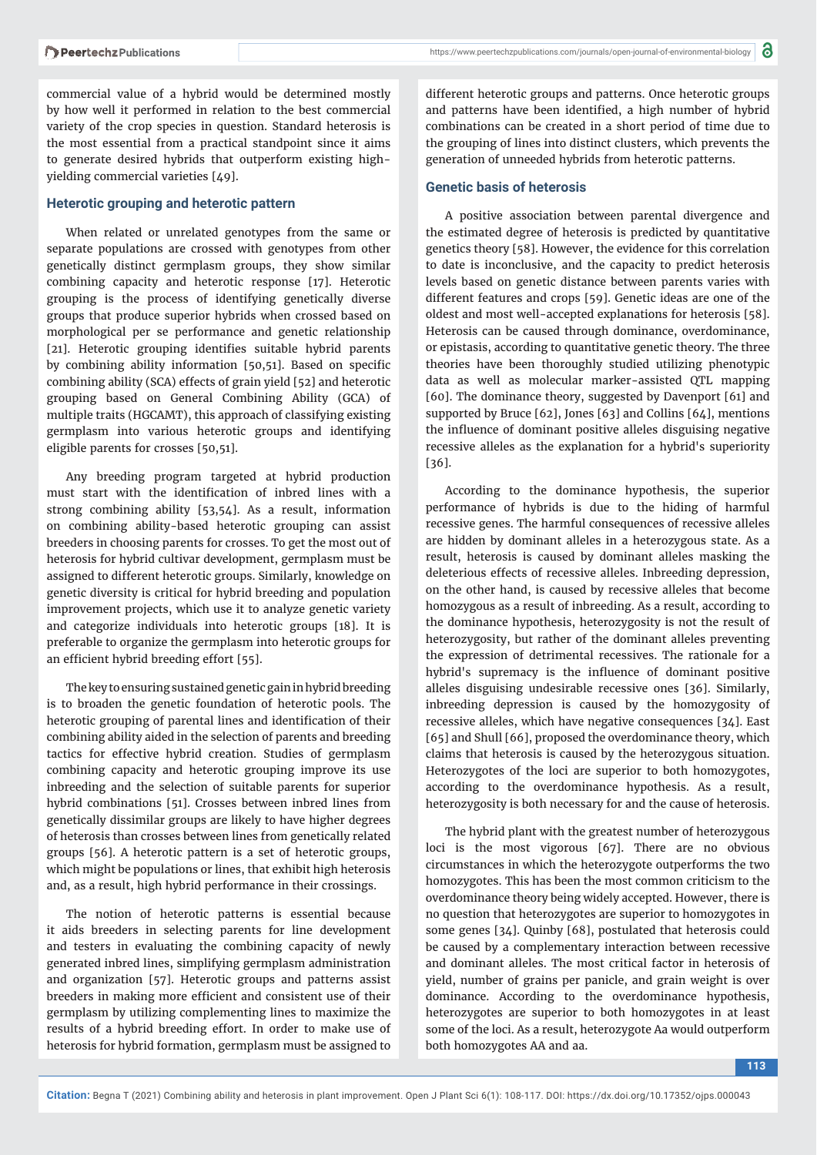commercial value of a hybrid would be determined mostly by how well it performed in relation to the best commercial variety of the crop species in question. Standard heterosis is the most essential from a practical standpoint since it aims to generate desired hybrids that outperform existing highyielding commercial varieties [49].

#### **Heterotic grouping and heterotic pattern**

When related or unrelated genotypes from the same or separate populations are crossed with genotypes from other genetically distinct germplasm groups, they show similar combining capacity and heterotic response [17]. Heterotic grouping is the process of identifying genetically diverse groups that produce superior hybrids when crossed based on morphological per se performance and genetic relationship [21]. Heterotic grouping identifies suitable hybrid parents by combining ability information [50,51]. Based on specific combining ability (SCA) effects of grain yield [52] and heterotic grouping based on General Combining Ability (GCA) of multiple traits (HGCAMT), this approach of classifying existing germplasm into various heterotic groups and identifying eligible parents for crosses [50,51].

Any breeding program targeted at hybrid production must start with the identification of inbred lines with a strong combining ability [53,54]. As a result, information on combining ability-based heterotic grouping can assist breeders in choosing parents for crosses. To get the most out of heterosis for hybrid cultivar development, germplasm must be assigned to different heterotic groups. Similarly, knowledge on genetic diversity is critical for hybrid breeding and population improvement projects, which use it to analyze genetic variety and categorize individuals into heterotic groups [18]. It is preferable to organize the germplasm into heterotic groups for an efficient hybrid breeding effort [55].

The key to ensuring sustained genetic gain in hybrid breeding is to broaden the genetic foundation of heterotic pools. The heterotic grouping of parental lines and identification of their combining ability aided in the selection of parents and breeding tactics for effective hybrid creation. Studies of germplasm combining capacity and heterotic grouping improve its use inbreeding and the selection of suitable parents for superior hybrid combinations [51]. Crosses between inbred lines from genetically dissimilar groups are likely to have higher degrees of heterosis than crosses between lines from genetically related groups [56]. A heterotic pattern is a set of heterotic groups, which might be populations or lines, that exhibit high heterosis and, as a result, high hybrid performance in their crossings.

The notion of heterotic patterns is essential because it aids breeders in selecting parents for line development and testers in evaluating the combining capacity of newly generated inbred lines, simplifying germplasm administration and organization [57]. Heterotic groups and patterns assist breeders in making more efficient and consistent use of their germplasm by utilizing complementing lines to maximize the results of a hybrid breeding effort. In order to make use of heterosis for hybrid formation, germplasm must be assigned to

different heterotic groups and patterns. Once heterotic groups and patterns have been identified, a high number of hybrid combinations can be created in a short period of time due to the grouping of lines into distinct clusters, which prevents the generation of unneeded hybrids from heterotic patterns.

#### **Genetic basis of heterosis**

A positive association between parental divergence and the estimated degree of heterosis is predicted by quantitative genetics theory [58]. However, the evidence for this correlation to date is inconclusive, and the capacity to predict heterosis levels based on genetic distance between parents varies with different features and crops [59]. Genetic ideas are one of the oldest and most well-accepted explanations for heterosis [58]. Heterosis can be caused through dominance, overdominance, or epistasis, according to quantitative genetic theory. The three theories have been thoroughly studied utilizing phenotypic data as well as molecular marker-assisted QTL mapping [60]. The dominance theory, suggested by Davenport [61] and supported by Bruce [62], Jones [63] and Collins [64], mentions the influence of dominant positive alleles disguising negative recessive alleles as the explanation for a hybrid's superiority [36].

According to the dominance hypothesis, the superior performance of hybrids is due to the hiding of harmful recessive genes. The harmful consequences of recessive alleles are hidden by dominant alleles in a heterozygous state. As a result, heterosis is caused by dominant alleles masking the deleterious effects of recessive alleles. Inbreeding depression, on the other hand, is caused by recessive alleles that become homozygous as a result of inbreeding. As a result, according to the dominance hypothesis, heterozygosity is not the result of heterozygosity, but rather of the dominant alleles preventing the expression of detrimental recessives. The rationale for a hybrid's supremacy is the influence of dominant positive alleles disguising undesirable recessive ones [36]. Similarly, inbreeding depression is caused by the homozygosity of recessive alleles, which have negative consequences [34]. East [65] and Shull [66], proposed the overdominance theory, which claims that heterosis is caused by the heterozygous situation. Heterozygotes of the loci are superior to both homozygotes, according to the overdominance hypothesis. As a result, heterozygosity is both necessary for and the cause of heterosis.

The hybrid plant with the greatest number of heterozygous loci is the most vigorous [67]. There are no obvious circumstances in which the heterozygote outperforms the two homozygotes. This has been the most common criticism to the overdominance theory being widely accepted. However, there is no question that heterozygotes are superior to homozygotes in some genes [34]. Quinby [68], postulated that heterosis could be caused by a complementary interaction between recessive and dominant alleles. The most critical factor in heterosis of yield, number of grains per panicle, and grain weight is over dominance. According to the overdominance hypothesis, heterozygotes are superior to both homozygotes in at least some of the loci. As a result, heterozygote Aa would outperform both homozygotes AA and aa.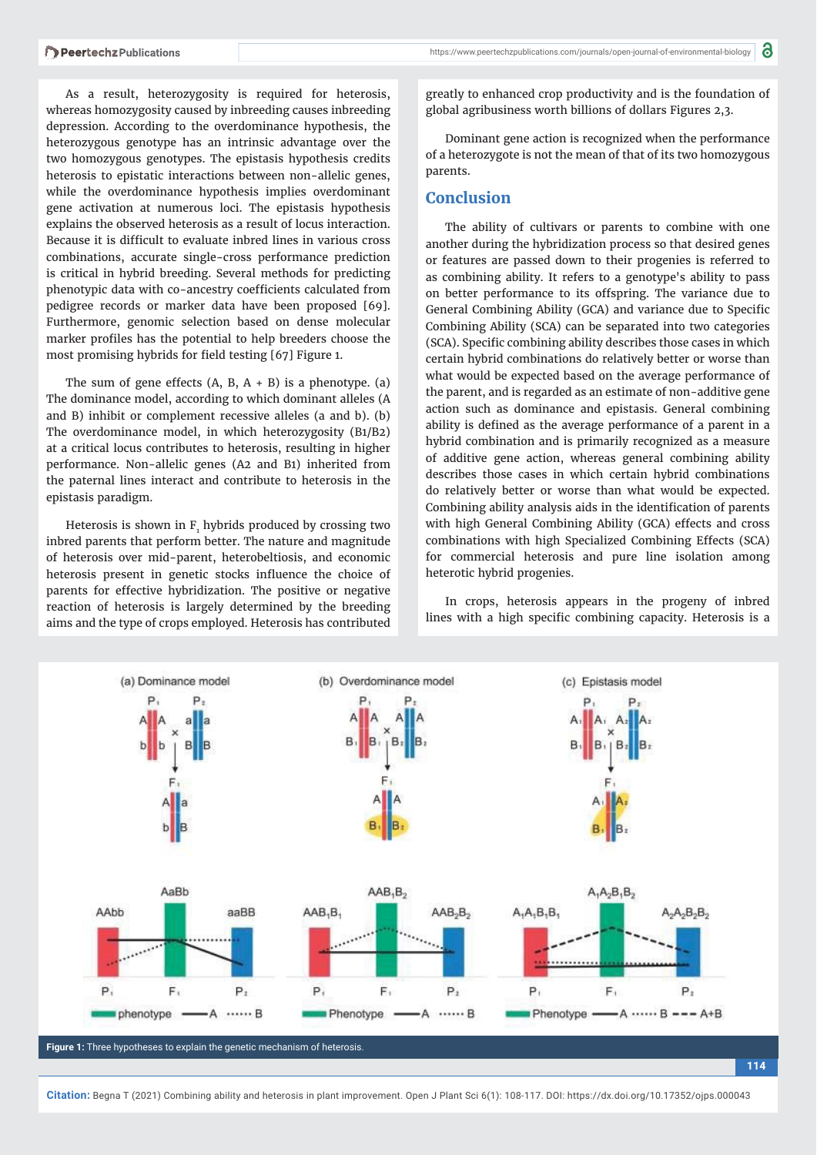As a result, heterozygosity is required for heterosis, whereas homozygosity caused by inbreeding causes inbreeding depression. According to the overdominance hypothesis, the heterozygous genotype has an intrinsic advantage over the two homozygous genotypes. The epistasis hypothesis credits heterosis to epistatic interactions between non-allelic genes, while the overdominance hypothesis implies overdominant gene activation at numerous loci. The epistasis hypothesis explains the observed heterosis as a result of locus interaction. Because it is difficult to evaluate inbred lines in various cross combinations, accurate single-cross performance prediction is critical in hybrid breeding. Several methods for predicting phenotypic data with co-ancestry coefficients calculated from pedigree records or marker data have been proposed [69]. Furthermore, genomic selection based on dense molecular marker profiles has the potential to help breeders choose the most promising hybrids for field testing [67] Figure 1.

The sum of gene effects  $(A, B, A + B)$  is a phenotype. (a) The dominance model, according to which dominant alleles (A and B) inhibit or complement recessive alleles (a and b). (b) The overdominance model, in which heterozygosity (B1/B2) at a critical locus contributes to heterosis, resulting in higher performance. Non-allelic genes (A2 and B1) inherited from the paternal lines interact and contribute to heterosis in the epistasis paradigm.

Heterosis is shown in  $F_1$  hybrids produced by crossing two inbred parents that perform better. The nature and magnitude of heterosis over mid-parent, heterobeltiosis, and economic heterosis present in genetic stocks influence the choice of parents for effective hybridization. The positive or negative reaction of heterosis is largely determined by the breeding aims and the type of crops employed. Heterosis has contributed

greatly to enhanced crop productivity and is the foundation of global agribusiness worth billions of dollars Figures 2,3.

Dominant gene action is recognized when the performance of a heterozygote is not the mean of that of its two homozygous parents.

#### **Conclusion**

The ability of cultivars or parents to combine with one another during the hybridization process so that desired genes or features are passed down to their progenies is referred to as combining ability. It refers to a genotype's ability to pass on better performance to its offspring. The variance due to General Combining Ability (GCA) and variance due to Specific Combining Ability (SCA) can be separated into two categories (SCA). Specific combining ability describes those cases in which certain hybrid combinations do relatively better or worse than what would be expected based on the average performance of the parent, and is regarded as an estimate of non-additive gene action such as dominance and epistasis. General combining ability is defined as the average performance of a parent in a hybrid combination and is primarily recognized as a measure of additive gene action, whereas general combining ability describes those cases in which certain hybrid combinations do relatively better or worse than what would be expected. Combining ability analysis aids in the identification of parents with high General Combining Ability (GCA) effects and cross combinations with high Specialized Combining Effects (SCA) for commercial heterosis and pure line isolation among heterotic hybrid progenies.

In crops, heterosis appears in the progeny of inbred lines with a high specific combining capacity. Heterosis is a



**Citation:** Begna T (2021) Combining ability and heterosis in plant improvement. Open J Plant Sci 6(1): 108-117. DOI: https://dx.doi.org/10.17352/ojps.000043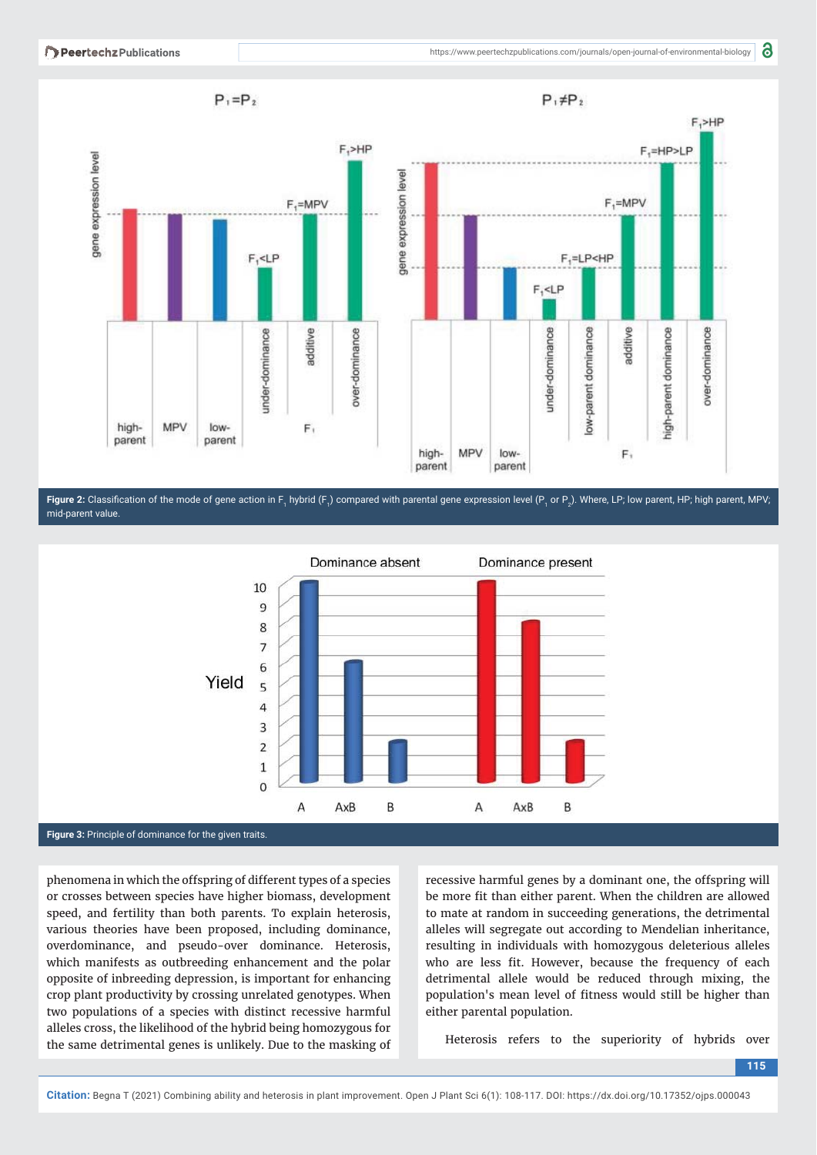





phenomena in which the offspring of different types of a species or crosses between species have higher biomass, development speed, and fertility than both parents. To explain heterosis, various theories have been proposed, including dominance, overdominance, and pseudo-over dominance. Heterosis, which manifests as outbreeding enhancement and the polar opposite of inbreeding depression, is important for enhancing crop plant productivity by crossing unrelated genotypes. When two populations of a species with distinct recessive harmful alleles cross, the likelihood of the hybrid being homozygous for the same detrimental genes is unlikely. Due to the masking of

recessive harmful genes by a dominant one, the offspring will be more fit than either parent. When the children are allowed to mate at random in succeeding generations, the detrimental alleles will segregate out according to Mendelian inheritance, resulting in individuals with homozygous deleterious alleles who are less fit. However, because the frequency of each detrimental allele would be reduced through mixing, the population's mean level of fitness would still be higher than either parental population.

Heterosis refers to the superiority of hybrids over

**<sup>115</sup>**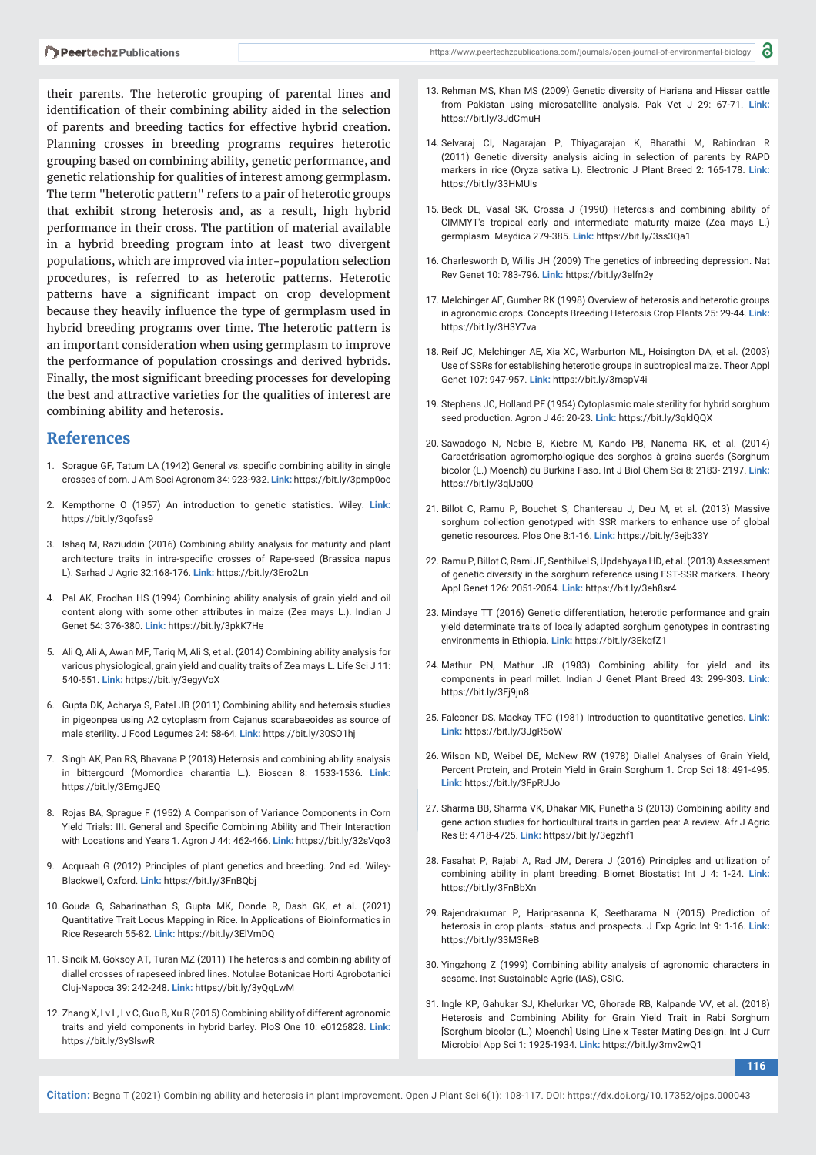their parents. The heterotic grouping of parental lines and identification of their combining ability aided in the selection of parents and breeding tactics for effective hybrid creation. Planning crosses in breeding programs requires heterotic grouping based on combining ability, genetic performance, and genetic relationship for qualities of interest among germplasm. The term "heterotic pattern" refers to a pair of heterotic groups that exhibit strong heterosis and, as a result, high hybrid performance in their cross. The partition of material available in a hybrid breeding program into at least two divergent populations, which are improved via inter-population selection procedures, is referred to as heterotic patterns. Heterotic patterns have a significant impact on crop development because they heavily influence the type of germplasm used in hybrid breeding programs over time. The heterotic pattern is an important consideration when using germplasm to improve the performance of population crossings and derived hybrids. Finally, the most significant breeding processes for developing the best and attractive varieties for the qualities of interest are combining ability and heterosis.

#### **References**

- 1. Sprague GF, Tatum LA (1942) General vs. specific combining ability in single crosses of corn. J Am Soci Agronom 34: 923-932. **Link:** https://bit.ly/3pmp0oc
- 2. Kempthorne O (1957) An introduction to genetic statistics. Wiley. **Link:** https://bit.ly/3qofss9
- 3. Ishaq M, Raziuddin (2016) Combining ability analysis for maturity and plant architecture traits in intra-specific crosses of Rape-seed (Brassica napus L). Sarhad J Agric 32:168-176. **Link:** https://bit.ly/3Ero2Ln
- 4. Pal AK, Prodhan HS (1994) Combining ability analysis of grain yield and oil content along with some other attributes in maize (Zea mays L.). Indian J Genet 54: 376-380. **Link:** https://bit.ly/3pkK7He
- 5. Ali Q, Ali A, Awan MF, Tariq M, Ali S, et al. (2014) Combining ability analysis for various physiological, grain yield and quality traits of Zea mays L. Life Sci J 11: 540-551. **Link:** https://bit.ly/3egyVoX
- 6. Gupta DK, Acharya S, Patel JB (2011) Combining ability and heterosis studies in pigeonpea using A2 cytoplasm from Cajanus scarabaeoides as source of male sterility. J Food Legumes 24: 58-64. **Link:** https://bit.ly/30SO1hj
- 7. Singh AK, Pan RS, Bhavana P (2013) Heterosis and combining ability analysis in bittergourd (Momordica charantia L.). Bioscan 8: 1533-1536. **Link:** https://bit.ly/3EmgJEQ
- 8. Rojas BA, Sprague F (1952) A Comparison of Variance Components in Corn Yield Trials: III. General and Specific Combining Ability and Their Interaction with Locations and Years 1. Agron J 44: 462-466. **Link:** https://bit.ly/32sVqo3
- 9. Acquaah G (2012) Principles of plant genetics and breeding. 2nd ed. Wiley-Blackwell, Oxford. **Link:** https://bit.ly/3FnBQbj
- 10. Gouda G, Sabarinathan S, Gupta MK, Donde R, Dash GK, et al. (2021) Quantitative Trait Locus Mapping in Rice. In Applications of Bioinformatics in Rice Research 55-82. **Link:** https://bit.ly/3ElVmDQ
- 11. Sincik M, Goksoy AT, Turan MZ (2011) The heterosis and combining ability of diallel crosses of rapeseed inbred lines. Notulae Botanicae Horti Agrobotanici Cluj-Napoca 39: 242-248. **Link:** https://bit.ly/3yQqLwM
- 12. Zhang X, Lv L, Lv C, Guo B, Xu R (2015) Combining ability of different agronomic traits and yield components in hybrid barley. PloS One 10: e0126828. **Link:** https://bit.ly/3ySlswR
- 13. Rehman MS, Khan MS (2009) Genetic diversity of Hariana and Hissar cattle from Pakistan using microsatellite analysis. Pak Vet J 29: 67-71. **Link:** https://bit.ly/3JdCmuH
- 14. Selvaraj CI, Nagarajan P, Thiyagarajan K, Bharathi M, Rabindran R (2011) Genetic diversity analysis aiding in selection of parents by RAPD markers in rice (Oryza sativa L). Electronic J Plant Breed 2: 165-178. **Link:** https://bit.ly/33HMUls
- 15. Beck DL, Vasal SK, Crossa J (1990) Heterosis and combining ability of CIMMYT's tropical early and intermediate maturity maize (Zea mays L.) germplasm. Maydica 279-385. **Link:** https://bit.ly/3ss3Qa1
- 16. Charlesworth D, Willis JH (2009) The genetics of inbreeding depression. Nat Rev Genet 10: 783-796. **Link:** https://bit.ly/3elfn2y
- 17. Melchinger AE, Gumber RK (1998) Overview of heterosis and heterotic groups in agronomic crops. Concepts Breeding Heterosis Crop Plants 25: 29-44. **Link:** https://bit.ly/3H3Y7va
- 18. Reif JC, Melchinger AE, Xia XC, Warburton ML, Hoisington DA, et al. (2003) Use of SSRs for establishing heterotic groups in subtropical maize. Theor Appl Genet 107: 947-957. **Link:** https://bit.ly/3mspV4i
- 19. Stephens JC, Holland PF (1954) Cytoplasmic male sterility for hybrid sorghum seed production. Agron J 46: 20-23. **Link:** https://bit.ly/3qklQQX
- 20. Sawadogo N, Nebie B, Kiebre M, Kando PB, Nanema RK, et al. (2014) Caractérisation agromorphologique des sorghos à grains sucrés (Sorghum bicolor (L.) Moench) du Burkina Faso. Int J Biol Chem Sci 8: 2183- 2197. **Link:** https://bit.ly/3qlJa0Q
- 21. Billot C, Ramu P, Bouchet S, Chantereau J, Deu M, et al. (2013) Massive sorghum collection genotyped with SSR markers to enhance use of global genetic resources. Plos One 8:1-16. **Link:** https://bit.ly/3ejb33Y
- 22. Ramu P, Billot C, Rami JF, Senthilvel S, Updahyaya HD, et al. (2013) Assessment of genetic diversity in the sorghum reference using EST-SSR markers. Theory Appl Genet 126: 2051-2064. **Link:** https://bit.ly/3eh8sr4
- 23. Mindaye TT (2016) Genetic differentiation, heterotic performance and grain yield determinate traits of locally adapted sorghum genotypes in contrasting environments in Ethiopia. **Link:** https://bit.ly/3EkqfZ1
- 24. Mathur PN, Mathur JR (1983) Combining ability for yield and its components in pearl millet. Indian J Genet Plant Breed 43: 299-303. **Link:** https://bit.ly/3Fj9jn8
- 25. Falconer DS, Mackay TFC (1981) Introduction to quantitative genetics. **Link: Link:** https://bit.ly/3JgR5oW
- 26. Wilson ND, Weibel DE, McNew RW (1978) Diallel Analyses of Grain Yield, Percent Protein, and Protein Yield in Grain Sorghum 1. Crop Sci 18: 491-495. **Link:** https://bit.ly/3FpRUJo
- 27. Sharma BB, Sharma VK, Dhakar MK, Punetha S (2013) Combining ability and gene action studies for horticultural traits in garden pea: A review. Afr J Agric Res 8: 4718-4725. **Link:** https://bit.ly/3egzhf1
- 28. Fasahat P, Rajabi A, Rad JM, Derera J (2016) Principles and utilization of combining ability in plant breeding. Biomet Biostatist Int J 4: 1-24. **Link:** https://bit.ly/3FnBbXn
- 29. Rajendrakumar P, Hariprasanna K, Seetharama N (2015) Prediction of heterosis in crop plants–status and prospects. J Exp Agric Int 9: 1-16. **Link:** https://bit.ly/33M3ReB
- 30. Yingzhong Z (1999) Combining ability analysis of agronomic characters in sesame. Inst Sustainable Agric (IAS), CSIC.
- 31. Ingle KP, Gahukar SJ, Khelurkar VC, Ghorade RB, Kalpande VV, et al. (2018) Heterosis and Combining Ability for Grain Yield Trait in Rabi Sorghum [Sorghum bicolor (L.) Moench] Using Line x Tester Mating Design. Int J Curr Microbiol App Sci 1: 1925-1934. **Link:** https://bit.ly/3mv2wQ1

**116**